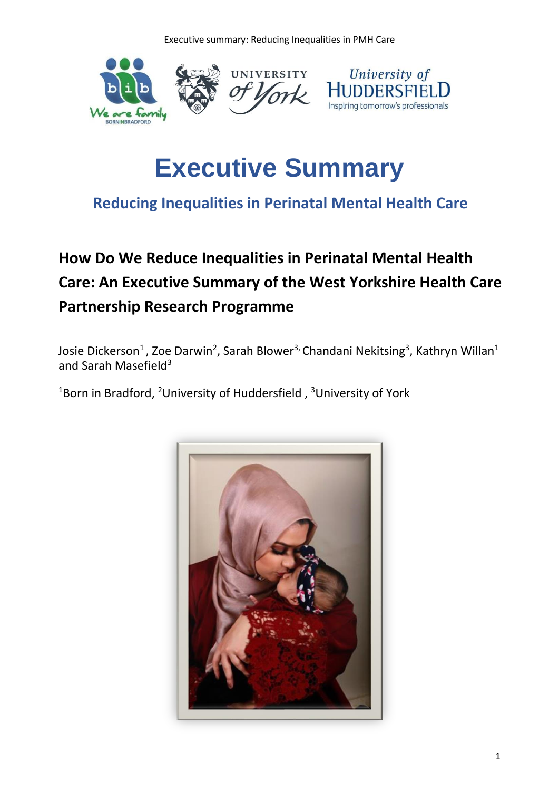Executive summary: Reducing Inequalities in PMH Care



# **Executive Summary**

### **Reducing Inequalities in Perinatal Mental Health Care**

## **How Do We Reduce Inequalities in Perinatal Mental Health Care: An Executive Summary of the West Yorkshire Health Care Partnership Research Programme**

Josie Dickerson<sup>1</sup>, Zoe Darwin<sup>2</sup>, Sarah Blower<sup>3,</sup> Chandani Nekitsing<sup>3</sup>, Kathryn Willan<sup>1</sup> and Sarah Masefield<sup>3</sup>

 $18$ orn in Bradford,  $2$ University of Huddersfield,  $3$ University of York

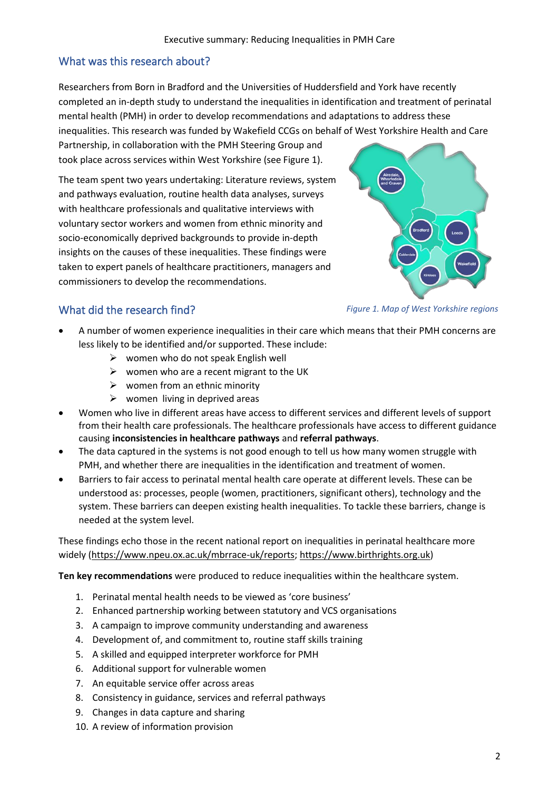#### What was this research about?

Researchers from Born in Bradford and the Universities of Huddersfield and York have recently completed an in-depth study to understand the inequalities in identification and treatment of perinatal mental health (PMH) in order to develop recommendations and adaptations to address these inequalities. This research was funded by Wakefield CCGs on behalf of West Yorkshire Health and Care

Partnership, in collaboration with the PMH Steering Group and took place across services within West Yorkshire (see Figure 1).

The team spent two years undertaking: Literature reviews, system and pathways evaluation, routine health data analyses, surveys with healthcare professionals and qualitative interviews with voluntary sector workers and women from ethnic minority and socio-economically deprived backgrounds to provide in-depth insights on the causes of these inequalities. These findings were taken to expert panels of healthcare practitioners, managers and commissioners to develop the recommendations.



#### What did the research find?

*Figure 1. Map of West Yorkshire regions*

- A number of women experience inequalities in their care which means that their PMH concerns are less likely to be identified and/or supported. These include:
	- $\triangleright$  women who do not speak English well
	- $\triangleright$  women who are a recent migrant to the UK
	- $\triangleright$  women from an ethnic minority
	- $\triangleright$  women living in deprived areas
- Women who live in different areas have access to different services and different levels of support from their health care professionals. The healthcare professionals have access to different guidance causing **inconsistencies in healthcare pathways** and **referral pathways**.
- The data captured in the systems is not good enough to tell us how many women struggle with PMH, and whether there are inequalities in the identification and treatment of women.
- Barriers to fair access to perinatal mental health care operate at different levels. These can be understood as: processes, people (women, practitioners, significant others), technology and the system. These barriers can deepen existing health inequalities. To tackle these barriers, change is needed at the system level.

These findings echo those in the recent national report on inequalities in perinatal healthcare more widely [\(https://www.npeu.ox.ac.uk/mbrrace-uk/reports;](https://www.npeu.ox.ac.uk/mbrrace-uk/reports) [https://www.birthrights.org.uk\)](https://www.birthrights.org.uk/)

**Ten key recommendations** were produced to reduce inequalities within the healthcare system.

- 1. Perinatal mental health needs to be viewed as 'core business'
- 2. Enhanced partnership working between statutory and VCS organisations
- 3. A campaign to improve community understanding and awareness
- 4. Development of, and commitment to, routine staff skills training
- 5. A skilled and equipped interpreter workforce for PMH
- 6. Additional support for vulnerable women
- 7. An equitable service offer across areas
- 8. Consistency in guidance, services and referral pathways
- 9. Changes in data capture and sharing
- 10. A review of information provision